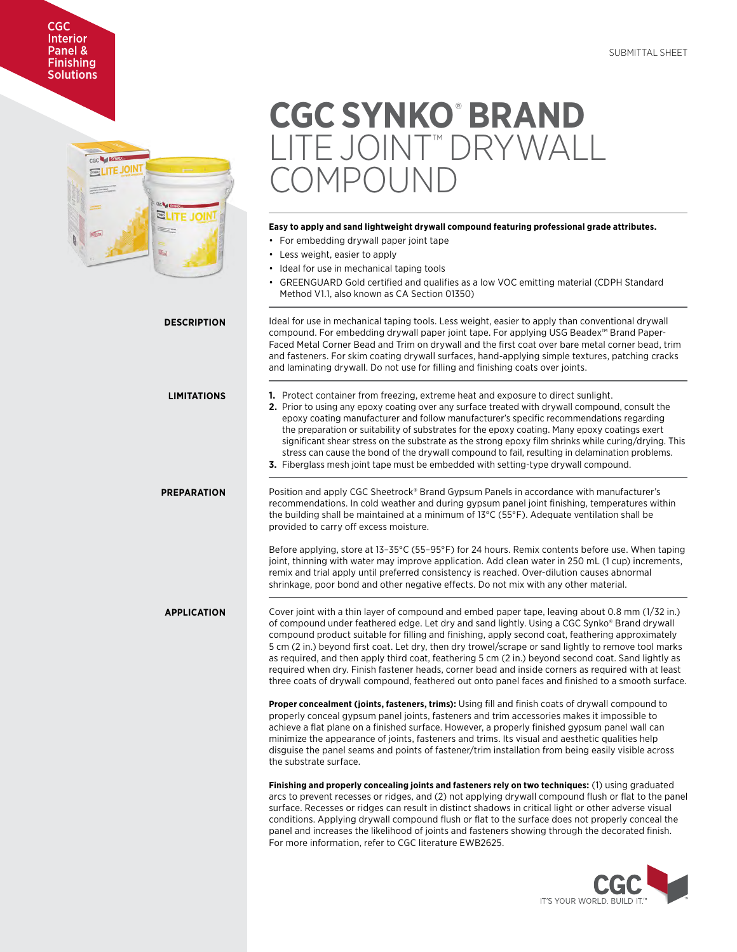# CGC Interior Panel & **Finishing Solutions**



# **CGC SYNKO**®  **BRAND**  LITE JOINT™ DRYWALL  $1P()$  JNF

# **Easy to apply and sand lightweight drywall compound featuring professional grade attributes.**

- For embedding drywall paper joint tape
- Less weight, easier to apply
- Ideal for use in mechanical taping tools
- GREENGUARD Gold certified and qualifies as a low VOC emitting material (CDPH Standard Method V1.1, also known as CA Section 01350)

**DESCRIPTION** Ideal for use in mechanical taping tools. Less weight, easier to apply than conventional drywall compound. For embedding drywall paper joint tape. For applying USG Beadex™ Brand Paper-Faced Metal Corner Bead and Trim on drywall and the first coat over bare metal corner bead, trim and fasteners. For skim coating drywall surfaces, hand-applying simple textures, patching cracks and laminating drywall. Do not use for filling and finishing coats over joints. **LIMITATIONS 1.** Protect container from freezing, extreme heat and exposure to direct sunlight. **2.** Prior to using any epoxy coating over any surface treated with drywall compound, consult the epoxy coating manufacturer and follow manufacturer's specific recommendations regarding

- the preparation or suitability of substrates for the epoxy coating. Many epoxy coatings exert significant shear stress on the substrate as the strong epoxy film shrinks while curing/drying. This stress can cause the bond of the drywall compound to fail, resulting in delamination problems.
- **3.** Fiberglass mesh joint tape must be embedded with setting-type drywall compound.

**PREPARATION** Position and apply CGC Sheetrock® Brand Gypsum Panels in accordance with manufacturer's recommendations. In cold weather and during gypsum panel joint finishing, temperatures within the building shall be maintained at a minimum of 13°C (55°F). Adequate ventilation shall be provided to carry off excess moisture.

> Before applying, store at 13–35°C (55–95°F) for 24 hours. Remix contents before use. When taping joint, thinning with water may improve application. Add clean water in 250 mL (1 cup) increments, remix and trial apply until preferred consistency is reached. Over-dilution causes abnormal shrinkage, poor bond and other negative effects. Do not mix with any other material.

**APPLICATION** Cover joint with a thin layer of compound and embed paper tape, leaving about 0.8 mm (1/32 in.) of compound under feathered edge. Let dry and sand lightly. Using a CGC Synko® Brand drywall compound product suitable for filling and finishing, apply second coat, feathering approximately 5 cm (2 in.) beyond first coat. Let dry, then dry trowel/scrape or sand lightly to remove tool marks as required, and then apply third coat, feathering 5 cm (2 in.) beyond second coat. Sand lightly as required when dry. Finish fastener heads, corner bead and inside corners as required with at least three coats of drywall compound, feathered out onto panel faces and finished to a smooth surface.

> **Proper concealment (joints, fasteners, trims):** Using fill and finish coats of drywall compound to properly conceal gypsum panel joints, fasteners and trim accessories makes it impossible to achieve a flat plane on a finished surface. However, a properly finished gypsum panel wall can minimize the appearance of joints, fasteners and trims. Its visual and aesthetic qualities help disguise the panel seams and points of fastener/trim installation from being easily visible across the substrate surface.

**Finishing and properly concealing joints and fasteners rely on two techniques:** (1) using graduated arcs to prevent recesses or ridges, and (2) not applying drywall compound flush or flat to the panel surface. Recesses or ridges can result in distinct shadows in critical light or other adverse visual conditions. Applying drywall compound flush or flat to the surface does not properly conceal the panel and increases the likelihood of joints and fasteners showing through the decorated finish. For more information, refer to CGC literature EWB2625.